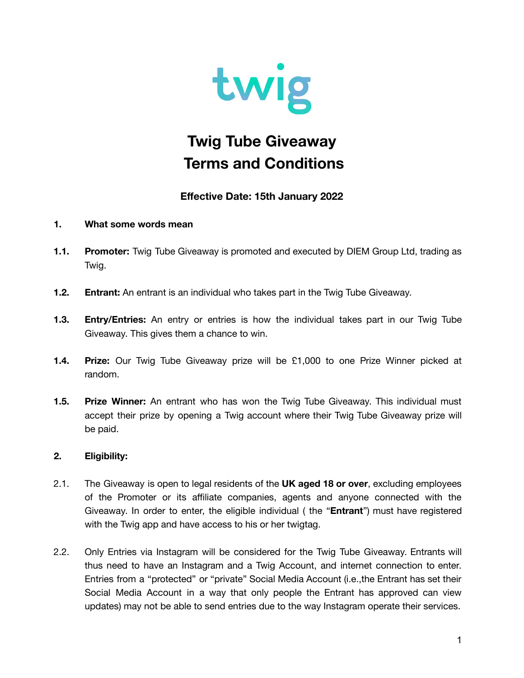

# **Twig Tube Giveaway Terms and Conditions**

# **Effective Date: 15th January 2022**

### **1. What some words mean**

- **1.1. Promoter:** Twig Tube Giveaway is promoted and executed by DIEM Group Ltd, trading as Twig.
- **1.2. Entrant:** An entrant is an individual who takes part in the Twig Tube Giveaway.
- **1.3. Entry/Entries:** An entry or entries is how the individual takes part in our Twig Tube Giveaway. This gives them a chance to win.
- **1.4. Prize:** Our Twig Tube Giveaway prize will be £1,000 to one Prize Winner picked at random.
- **1.5. Prize Winner:** An entrant who has won the Twig Tube Giveaway. This individual must accept their prize by opening a Twig account where their Twig Tube Giveaway prize will be paid.

# **2. Eligibility:**

- 2.1. The Giveaway is open to legal residents of the **UK aged 18 or over**, excluding employees of the Promoter or its affiliate companies, agents and anyone connected with the Giveaway. In order to enter, the eligible individual ( the "**Entrant**") must have registered with the Twig app and have access to his or her twigtag.
- 2.2. Only Entries via Instagram will be considered for the Twig Tube Giveaway. Entrants will thus need to have an Instagram and a Twig Account, and internet connection to enter. Entries from a "protected" or "private" Social Media Account (i.e.,the Entrant has set their Social Media Account in a way that only people the Entrant has approved can view updates) may not be able to send entries due to the way Instagram operate their services.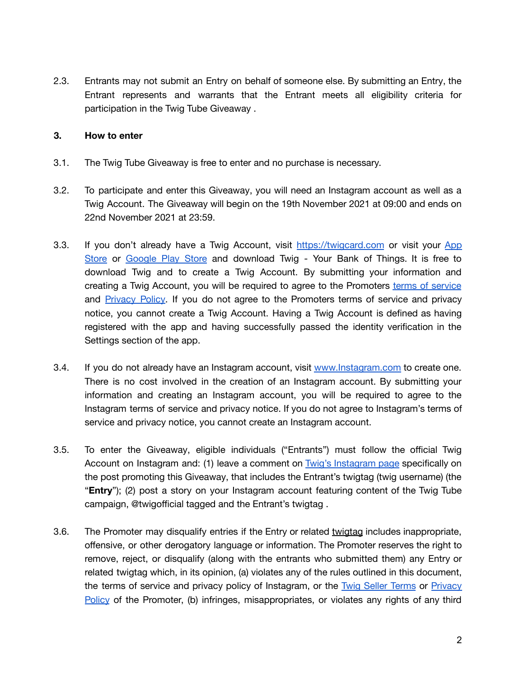2.3. Entrants may not submit an Entry on behalf of someone else. By submitting an Entry, the Entrant represents and warrants that the Entrant meets all eligibility criteria for participation in the Twig Tube Giveaway .

#### **3. How to enter**

- 3.1. The Twig Tube Giveaway is free to enter and no purchase is necessary.
- 3.2. To participate and enter this Giveaway, you will need an Instagram account as well as a Twig Account. The Giveaway will begin on the 19th November 2021 at 09:00 and ends on 22nd November 2021 at 23:59.
- 3.3. If you don't already have a Twig Account, visit <https://twigcard.com> or visit your [App](https://apps.apple.com/us/app/twig-your-bank-of-things/id1537416372) [Store](https://apps.apple.com/us/app/twig-your-bank-of-things/id1537416372) or [Google](https://play.google.com/store/apps/details?id=org.cartediem.app&hl=en_GB&gl=US) Play Store and download Twig - Your Bank of Things. It is free to download Twig and to create a Twig Account. By submitting your information and creating a Twig Account, you will be required to agree to the Promoters terms of [service](https://twigcard.com/terms_conditions.pdf) and [Privacy](https://twigcard.com/privacy_policy.pdf) Policy. If you do not agree to the Promoters terms of service and privacy notice, you cannot create a Twig Account. Having a Twig Account is defined as having registered with the app and having successfully passed the identity verification in the Settings section of the app.
- 3.4. If you do not already have an Instagram account, visit [www.Instagram.com](http://www.instagram.com) to create one. There is no cost involved in the creation of an Instagram account. By submitting your information and creating an Instagram account, you will be required to agree to the Instagram terms of service and privacy notice. If you do not agree to Instagram's terms of service and privacy notice, you cannot create an Instagram account.
- 3.5. To enter the Giveaway, eligible individuals ("Entrants") must follow the official Twig Account on Instagram and: (1) leave a comment on Twig's [Instagram](https://www.instagram.com/twigofficial/?hl=en-gb) page specifically on the post promoting this Giveaway, that includes the Entrant's twigtag (twig username) (the "**Entry**"); (2) post a story on your Instagram account featuring content of the Twig Tube campaign, @twigofficial tagged and the Entrant's twigtag .
- 3.6. The Promoter may disqualify entries if the Entry or related twigtag includes inappropriate, offensive, or other derogatory language or information. The Promoter reserves the right to remove, reject, or disqualify (along with the entrants who submitted them) any Entry or related twigtag which, in its opinion, (a) violates any of the rules outlined in this document, the terms of service and privacy policy of Instagram, or the [Twig](https://twigcard.com/terms_conditions.pdf) Seller [Terms](https://twigcard.com/terms_conditions.pdf) or [Privacy](https://twigcard.com/privacy_policy.pdf) [Policy](https://twigcard.com/privacy_policy.pdf) of the Promoter, (b) infringes, misappropriates, or violates any rights of any third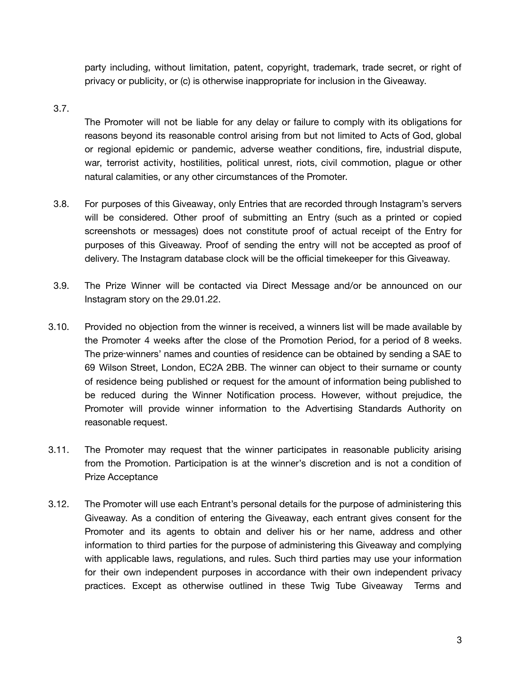party including, without limitation, patent, copyright, trademark, trade secret, or right of privacy or publicity, or (c) is otherwise inappropriate for inclusion in the Giveaway.

#### 3.7.

The Promoter will not be liable for any delay or failure to comply with its obligations for reasons beyond its reasonable control arising from but not limited to Acts of God, global or regional epidemic or pandemic, adverse weather conditions, fire, industrial dispute, war, terrorist activity, hostilities, political unrest, riots, civil commotion, plague or other natural calamities, or any other circumstances of the Promoter.

- 3.8. For purposes of this Giveaway, only Entries that are recorded through Instagram's servers will be considered. Other proof of submitting an Entry (such as a printed or copied screenshots or messages) does not constitute proof of actual receipt of the Entry for purposes of this Giveaway. Proof of sending the entry will not be accepted as proof of delivery. The Instagram database clock will be the official timekeeper for this Giveaway.
- 3.9. The Prize Winner will be contacted via Direct Message and/or be announced on our Instagram story on the 29.01.22.
- 3.10. Provided no objection from the winner is received, a winners list will be made available by the Promoter 4 weeks after the close of the Promotion Period, for a period of 8 weeks. The prize‑winners' names and counties of residence can be obtained by sending a SAE to 69 Wilson Street, London, EC2A 2BB. The winner can object to their surname or county of residence being published or request for the amount of information being published to be reduced during the Winner Notification process. However, without prejudice, the Promoter will provide winner information to the Advertising Standards Authority on reasonable request.
- 3.11. The Promoter may request that the winner participates in reasonable publicity arising from the Promotion. Participation is at the winner's discretion and is not a condition of Prize Acceptance
- 3.12. The Promoter will use each Entrant's personal details for the purpose of administering this Giveaway. As a condition of entering the Giveaway, each entrant gives consent for the Promoter and its agents to obtain and deliver his or her name, address and other information to third parties for the purpose of administering this Giveaway and complying with applicable laws, regulations, and rules. Such third parties may use your information for their own independent purposes in accordance with their own independent privacy practices. Except as otherwise outlined in these Twig Tube Giveaway Terms and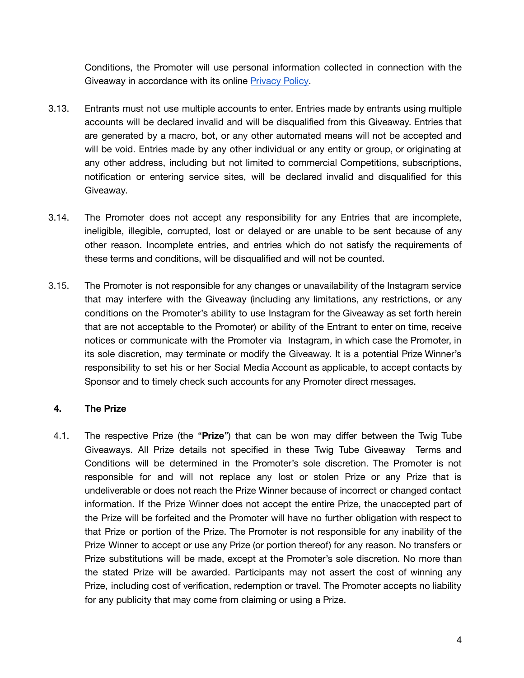Conditions, the Promoter will use personal information collected in connection with the Giveaway in accordance with its online [Privacy](https://twigcard.com/privacy_policy.pdf) Policy.

- 3.13. Entrants must not use multiple accounts to enter. Entries made by entrants using multiple accounts will be declared invalid and will be disqualified from this Giveaway. Entries that are generated by a macro, bot, or any other automated means will not be accepted and will be void. Entries made by any other individual or any entity or group, or originating at any other address, including but not limited to commercial Competitions, subscriptions, notification or entering service sites, will be declared invalid and disqualified for this Giveaway.
- 3.14. The Promoter does not accept any responsibility for any Entries that are incomplete, ineligible, illegible, corrupted, lost or delayed or are unable to be sent because of any other reason. Incomplete entries, and entries which do not satisfy the requirements of these terms and conditions, will be disqualified and will not be counted.
- 3.15. The Promoter is not responsible for any changes or unavailability of the Instagram service that may interfere with the Giveaway (including any limitations, any restrictions, or any conditions on the Promoter's ability to use Instagram for the Giveaway as set forth herein that are not acceptable to the Promoter) or ability of the Entrant to enter on time, receive notices or communicate with the Promoter via Instagram, in which case the Promoter, in its sole discretion, may terminate or modify the Giveaway. It is a potential Prize Winner's responsibility to set his or her Social Media Account as applicable, to accept contacts by Sponsor and to timely check such accounts for any Promoter direct messages.

# **4. The Prize**

4.1. The respective Prize (the "**Prize**") that can be won may differ between the Twig Tube Giveaways. All Prize details not specified in these Twig Tube Giveaway Terms and Conditions will be determined in the Promoter's sole discretion. The Promoter is not responsible for and will not replace any lost or stolen Prize or any Prize that is undeliverable or does not reach the Prize Winner because of incorrect or changed contact information. If the Prize Winner does not accept the entire Prize, the unaccepted part of the Prize will be forfeited and the Promoter will have no further obligation with respect to that Prize or portion of the Prize. The Promoter is not responsible for any inability of the Prize Winner to accept or use any Prize (or portion thereof) for any reason. No transfers or Prize substitutions will be made, except at the Promoter's sole discretion. No more than the stated Prize will be awarded. Participants may not assert the cost of winning any Prize, including cost of verification, redemption or travel. The Promoter accepts no liability for any publicity that may come from claiming or using a Prize.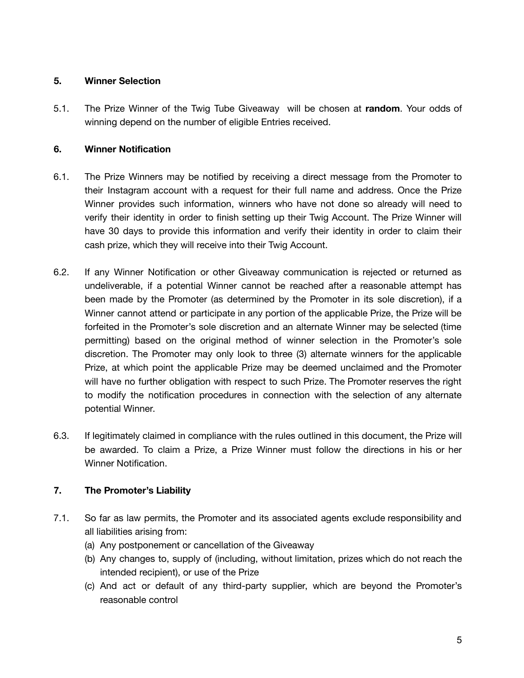### **5. Winner Selection**

5.1. The Prize Winner of the Twig Tube Giveaway will be chosen at **random**. Your odds of winning depend on the number of eligible Entries received.

# **6. Winner Notification**

- 6.1. The Prize Winners may be notified by receiving a direct message from the Promoter to their Instagram account with a request for their full name and address. Once the Prize Winner provides such information, winners who have not done so already will need to verify their identity in order to finish setting up their Twig Account. The Prize Winner will have 30 days to provide this information and verify their identity in order to claim their cash prize, which they will receive into their Twig Account.
- 6.2. If any Winner Notification or other Giveaway communication is rejected or returned as undeliverable, if a potential Winner cannot be reached after a reasonable attempt has been made by the Promoter (as determined by the Promoter in its sole discretion), if a Winner cannot attend or participate in any portion of the applicable Prize, the Prize will be forfeited in the Promoter's sole discretion and an alternate Winner may be selected (time permitting) based on the original method of winner selection in the Promoter's sole discretion. The Promoter may only look to three (3) alternate winners for the applicable Prize, at which point the applicable Prize may be deemed unclaimed and the Promoter will have no further obligation with respect to such Prize. The Promoter reserves the right to modify the notification procedures in connection with the selection of any alternate potential Winner.
- 6.3. If legitimately claimed in compliance with the rules outlined in this document, the Prize will be awarded. To claim a Prize, a Prize Winner must follow the directions in his or her Winner Notification.

# **7. The Promoter's Liability**

- 7.1. So far as law permits, the Promoter and its associated agents exclude responsibility and all liabilities arising from:
	- (a) Any postponement or cancellation of the Giveaway
	- (b) Any changes to, supply of (including, without limitation, prizes which do not reach the intended recipient), or use of the Prize
	- (c) And act or default of any third-party supplier, which are beyond the Promoter's reasonable control